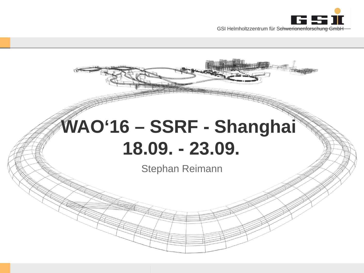

# WAO'16 - SSRF - Shanghai **18.09. - 23.09.**

Stephan Reimann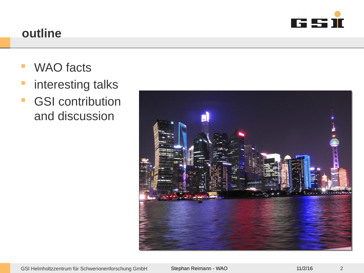

#### **outline**

- **WAO** facts
- **n** interesting talks
- **GSI contribution** and discussion

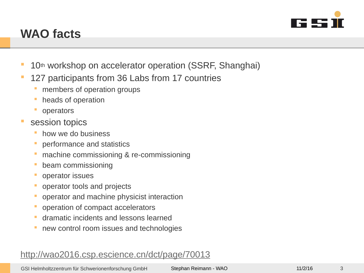

# **WAO facts**

- <sup>1</sup> 10<sup>th</sup> workshop on accelerator operation (SSRF, Shanghai)
- **127 participants from 36 Labs from 17 countries** 
	- **members of operation groups**
	- heads of operation
	- operators
- session topics
	- how we do business
	- performance and statistics
	- machine commissioning & re-commissioning
	- beam commissioning
	- operator issues
	- operator tools and projects
	- **operator and machine physicist interaction**
	- **operation of compact accelerators**
	- dramatic incidents and lessons learned
	- new control room issues and technologies

#### <http://wao2016.csp.escience.cn/dct/page/70013>

GSI Helmholtzzentrum für Schwerionenforschung GmbH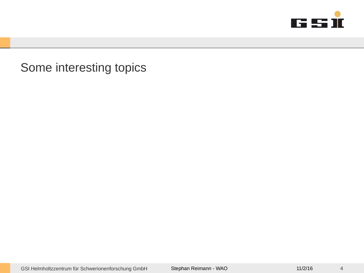

Some interesting topics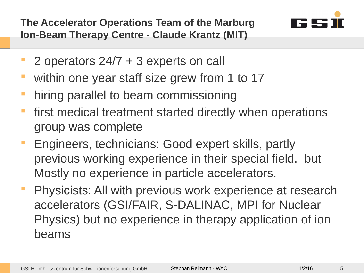**The Accelerator Operations Team of the Marburg Ion-Beam Therapy Centre - Claude Krantz (MIT)** 



- 2 operators 24/7 + 3 experts on call
- **within one year staff size grew from 1 to 17**
- **hiring parallel to beam commissioning**
- first medical treatment started directly when operations group was complete
- Engineers, technicians: Good expert skills, partly previous working experience in their special field. but Mostly no experience in particle accelerators.
- Physicists: All with previous work experience at research accelerators (GSI/FAIR, S-DALINAC, MPI for Nuclear Physics) but no experience in therapy application of ion beams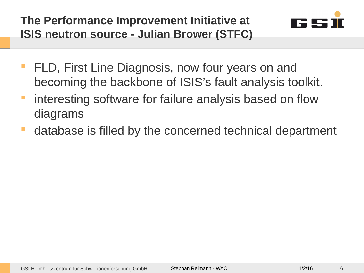**The Performance Improvement Initiative at ISIS neutron source - Julian Brower (STFC)** 



- FLD, First Line Diagnosis, now four years on and becoming the backbone of ISIS's fault analysis toolkit.
- **F** interesting software for failure analysis based on flow diagrams
- database is filled by the concerned technical department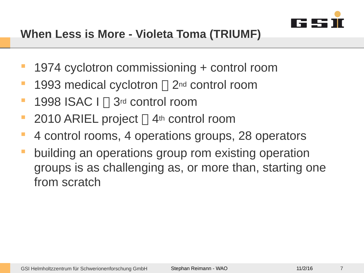

- 1974 cyclotron commissioning + control room
- **1993 medical cyclotron**  $\Box$  2<sup>nd</sup> control room
- $\blacksquare$  1998 ISAC I  $\sqcap$  3rd control room
- 2010 ARIEL project  $\Box$  4<sup>th</sup> control room
- 4 control rooms, 4 operations groups, 28 operators
- building an operations group rom existing operation groups is as challenging as, or more than, starting one from scratch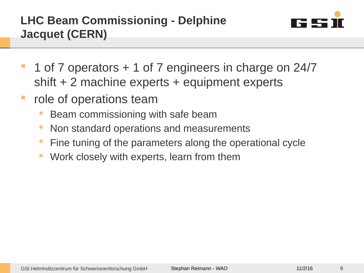

- 1 of 7 operators + 1 of 7 engineers in charge on 24/7 shift + 2 machine experts + equipment experts
- **•** role of operations team
	- Beam commissioning with safe beam
	- Non standard operations and measurements
	- Fine tuning of the parameters along the operational cycle
	- Work closely with experts, learn from them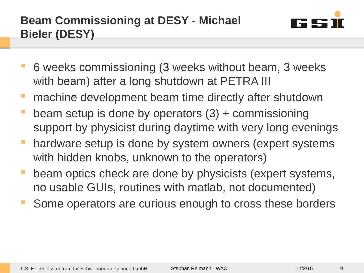

- 6 weeks commissioning (3 weeks without beam, 3 weeks with beam) after a long shutdown at PETRA III
- machine development beam time directly after shutdown
- beam setup is done by operators (3) + commissioning support by physicist during daytime with very long evenings
- **hardware setup is done by system owners (expert systems** with hidden knobs, unknown to the operators)
- beam optics check are done by physicists (expert systems, no usable GUIs, routines with matlab, not documented)
- Some operators are curious enough to cross these borders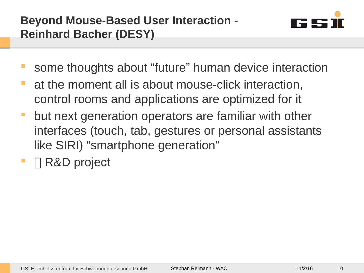

- some thoughts about "future" human device interaction
- at the moment all is about mouse-click interaction, control rooms and applications are optimized for it
- but next generation operators are familiar with other interfaces (touch, tab, gestures or personal assistants like SIRI) "smartphone generation"
- R&D project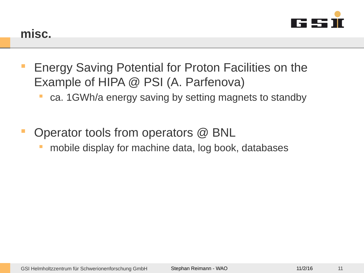

- Energy Saving Potential for Proton Facilities on the Example of HIPA @ PSI (A. Parfenova)
	- ca. 1GWh/a energy saving by setting magnets to standby
- Operator tools from operators @ BNL
	- mobile display for machine data, log book, databases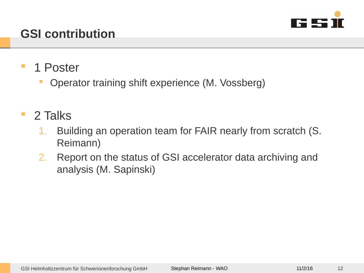

# **GSI contribution**

- 1 Poster
	- Operator training shift experience (M. Vossberg)
- **2 Talks** 
	- 1. Building an operation team for FAIR nearly from scratch (S. Reimann)
	- 2. Report on the status of GSI accelerator data archiving and analysis (M. Sapinski)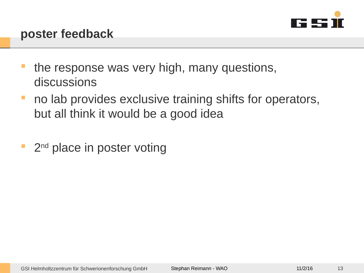

- the response was very high, many questions, discussions
- **no lab provides exclusive training shifts for operators,** but all think it would be a good idea
- <sup>2nd</sup> place in poster voting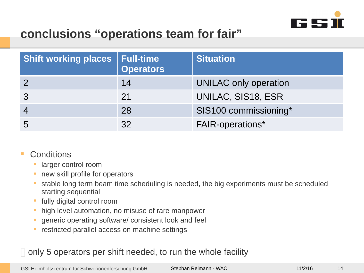

### **conclusions "operations team for fair"**

| <b>Shift working places</b> | <b>Full-time</b><br><b>Operators</b> | <b>Situation</b>        |
|-----------------------------|--------------------------------------|-------------------------|
|                             | 14                                   | UNILAC only operation   |
|                             | 21                                   | UNILAC, SIS18, ESR      |
|                             | 28                                   | SIS100 commissioning*   |
| 5                           | 32                                   | <b>FAIR-operations*</b> |

- **Conditions** 
	- larger control room
	- **new skill profile for operators**
	- stable long term beam time scheduling is needed, the big experiments must be scheduled starting sequential
	- **fully digital control room**
	- high level automation, no misuse of rare manpower
	- **generic operating software/ consistent look and feel**
	- **F** restricted parallel access on machine settings

#### $\Box$  only 5 operators per shift needed, to run the whole facility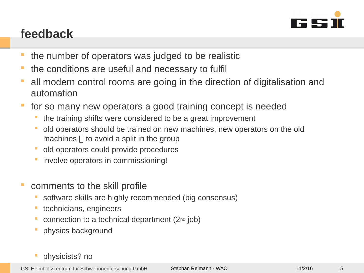

# **feedback**

- **the number of operators was judged to be realistic**
- the conditions are useful and necessary to fulfil
- all modern control rooms are going in the direction of digitalisation and automation
- for so many new operators a good training concept is needed
	- the training shifts were considered to be a great improvement
	- old operators should be trained on new machines, new operators on the old machines  $\Box$  to avoid a split in the group
	- old operators could provide procedures
	- involve operators in commissioning!
- comments to the skill profile
	- software skills are highly recommended (big consensus)
	- **technicians, engineers**
	- connection to a technical department (2nd job)
	- physics background
	- physicists? no